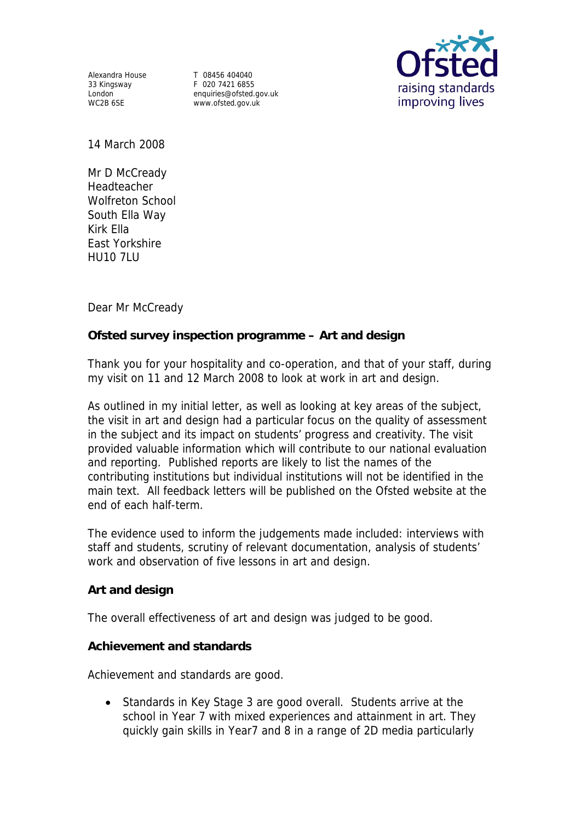Alexandra House T 08456 404040<br>33 Kingsway T 020 7421 6855

33 Kingsway F 020 7421 6855<br>
London enquiries@ofsted. London enquiries@ofsted.gov.uk www.ofsted.gov.uk



14 March 2008

Mr D McCready Headteacher Wolfreton School South Ella Way Kirk Ella East Yorkshire HU10 7LU

Dear Mr McCready

**Ofsted survey inspection programme – Art and design** 

Thank you for your hospitality and co-operation, and that of your staff, during my visit on 11 and 12 March 2008 to look at work in art and design.

As outlined in my initial letter, as well as looking at key areas of the subject, the visit in art and design had a particular focus on the quality of assessment in the subject and its impact on students' progress and creativity. The visit provided valuable information which will contribute to our national evaluation and reporting. Published reports are likely to list the names of the contributing institutions but individual institutions will not be identified in the main text. All feedback letters will be published on the Ofsted website at the end of each half-term.

The evidence used to inform the judgements made included: interviews with staff and students, scrutiny of relevant documentation, analysis of students' work and observation of five lessons in art and design.

**Art and design**

The overall effectiveness of art and design was judged to be good.

**Achievement and standards** 

Achievement and standards are good.

 Standards in Key Stage 3 are good overall. Students arrive at the school in Year 7 with mixed experiences and attainment in art. They quickly gain skills in Year7 and 8 in a range of 2D media particularly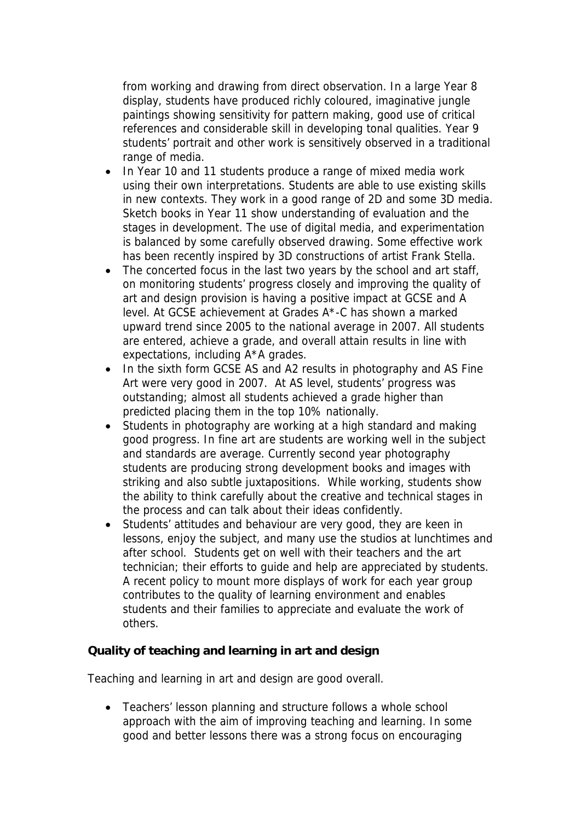from working and drawing from direct observation. In a large Year 8 display, students have produced richly coloured, imaginative jungle paintings showing sensitivity for pattern making, good use of critical references and considerable skill in developing tonal qualities. Year 9 students' portrait and other work is sensitively observed in a traditional range of media.

- In Year 10 and 11 students produce a range of mixed media work using their own interpretations. Students are able to use existing skills in new contexts. They work in a good range of 2D and some 3D media. Sketch books in Year 11 show understanding of evaluation and the stages in development. The use of digital media, and experimentation is balanced by some carefully observed drawing. Some effective work has been recently inspired by 3D constructions of artist Frank Stella.
- The concerted focus in the last two years by the school and art staff, on monitoring students' progress closely and improving the quality of art and design provision is having a positive impact at GCSE and A level. At GCSE achievement at Grades A\*-C has shown a marked upward trend since 2005 to the national average in 2007. All students are entered, achieve a grade, and overall attain results in line with expectations, including A\*A grades.
- In the sixth form GCSE AS and A2 results in photography and AS Fine Art were very good in 2007. At AS level, students' progress was outstanding; almost all students achieved a grade higher than predicted placing them in the top 10% nationally.
- Students in photography are working at a high standard and making good progress. In fine art are students are working well in the subject and standards are average. Currently second year photography students are producing strong development books and images with striking and also subtle juxtapositions. While working, students show the ability to think carefully about the creative and technical stages in the process and can talk about their ideas confidently.
- Students' attitudes and behaviour are very good, they are keen in lessons, enjoy the subject, and many use the studios at lunchtimes and after school. Students get on well with their teachers and the art technician; their efforts to guide and help are appreciated by students. A recent policy to mount more displays of work for each year group contributes to the quality of learning environment and enables students and their families to appreciate and evaluate the work of others.

**Quality of teaching and learning in art and design**

Teaching and learning in art and design are good overall.

• Teachers' lesson planning and structure follows a whole school approach with the aim of improving teaching and learning. In some good and better lessons there was a strong focus on encouraging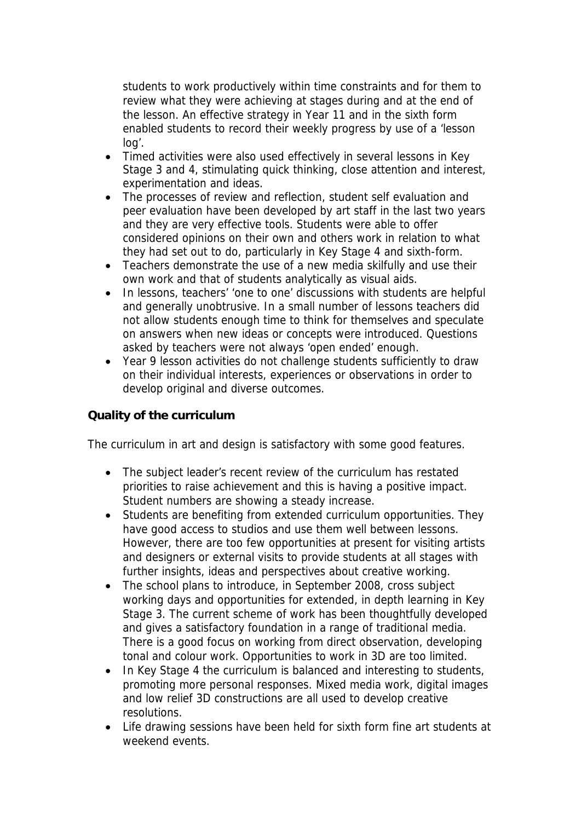students to work productively within time constraints and for them to review what they were achieving at stages during and at the end of the lesson. An effective strategy in Year 11 and in the sixth form enabled students to record their weekly progress by use of a 'lesson log'.

- Timed activities were also used effectively in several lessons in Key Stage 3 and 4, stimulating quick thinking, close attention and interest, experimentation and ideas.
- The processes of review and reflection, student self evaluation and peer evaluation have been developed by art staff in the last two years and they are very effective tools. Students were able to offer considered opinions on their own and others work in relation to what they had set out to do, particularly in Key Stage 4 and sixth-form.
- Teachers demonstrate the use of a new media skilfully and use their own work and that of students analytically as visual aids.
- In lessons, teachers' 'one to one' discussions with students are helpful and generally unobtrusive. In a small number of lessons teachers did not allow students enough time to think for themselves and speculate on answers when new ideas or concepts were introduced. Questions asked by teachers were not always 'open ended' enough.
- Year 9 lesson activities do not challenge students sufficiently to draw on their individual interests, experiences or observations in order to develop original and diverse outcomes.

## **Quality of the curriculum**

The curriculum in art and design is satisfactory with some good features.

- The subject leader's recent review of the curriculum has restated priorities to raise achievement and this is having a positive impact. Student numbers are showing a steady increase.
- Students are benefiting from extended curriculum opportunities. They have good access to studios and use them well between lessons. However, there are too few opportunities at present for visiting artists and designers or external visits to provide students at all stages with further insights, ideas and perspectives about creative working.
- The school plans to introduce, in September 2008, cross subject working days and opportunities for extended, in depth learning in Key Stage 3. The current scheme of work has been thoughtfully developed and gives a satisfactory foundation in a range of traditional media. There is a good focus on working from direct observation, developing tonal and colour work. Opportunities to work in 3D are too limited.
- In Key Stage 4 the curriculum is balanced and interesting to students, promoting more personal responses. Mixed media work, digital images and low relief 3D constructions are all used to develop creative resolutions.
- Life drawing sessions have been held for sixth form fine art students at weekend events.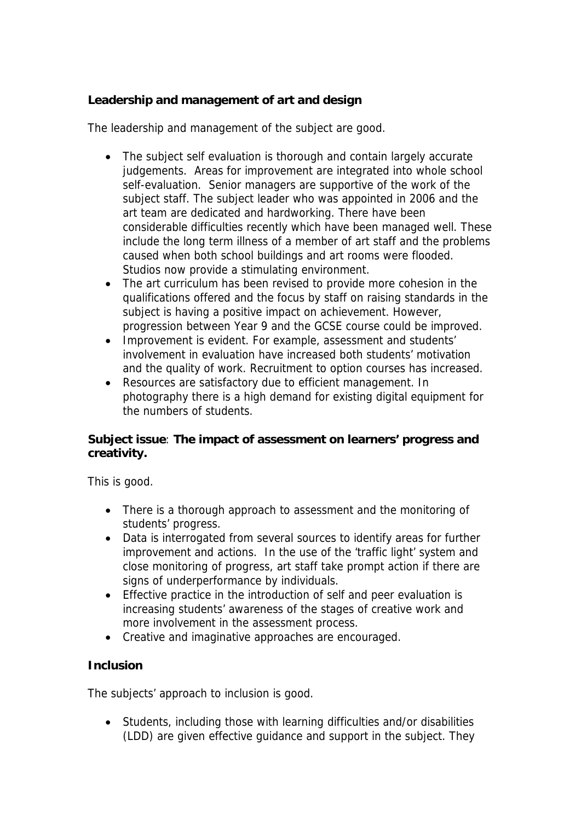**Leadership and management of art and design**

The leadership and management of the subject are good.

- The subject self evaluation is thorough and contain largely accurate judgements. Areas for improvement are integrated into whole school self-evaluation. Senior managers are supportive of the work of the subject staff. The subject leader who was appointed in 2006 and the art team are dedicated and hardworking. There have been considerable difficulties recently which have been managed well. These include the long term illness of a member of art staff and the problems caused when both school buildings and art rooms were flooded. Studios now provide a stimulating environment.
- The art curriculum has been revised to provide more cohesion in the qualifications offered and the focus by staff on raising standards in the subject is having a positive impact on achievement. However, progression between Year 9 and the GCSE course could be improved.
- Improvement is evident. For example, assessment and students' involvement in evaluation have increased both students' motivation and the quality of work. Recruitment to option courses has increased.
- Resources are satisfactory due to efficient management. In photography there is a high demand for existing digital equipment for the numbers of students.

**Subject issue**: **The impact of assessment on learners' progress and creativity.**

This is good.

- There is a thorough approach to assessment and the monitoring of students' progress.
- Data is interrogated from several sources to identify areas for further improvement and actions. In the use of the 'traffic light' system and close monitoring of progress, art staff take prompt action if there are signs of underperformance by individuals.
- Effective practice in the introduction of self and peer evaluation is increasing students' awareness of the stages of creative work and more involvement in the assessment process.
- Creative and imaginative approaches are encouraged.

## **Inclusion**

The subjects' approach to inclusion is good.

 Students, including those with learning difficulties and/or disabilities (LDD) are given effective guidance and support in the subject. They